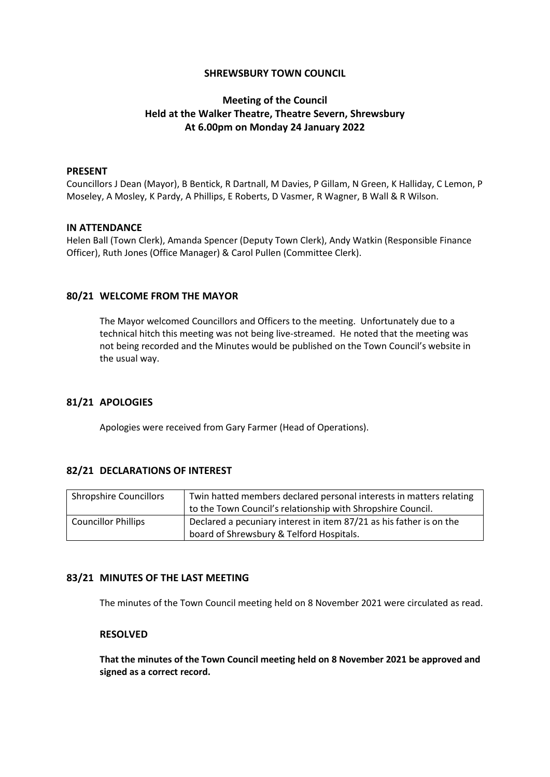## **SHREWSBURY TOWN COUNCIL**

# **Meeting of the Council Held at the Walker Theatre, Theatre Severn, Shrewsbury At 6.00pm on Monday 24 January 2022**

### **PRESENT**

Councillors J Dean (Mayor), B Bentick, R Dartnall, M Davies, P Gillam, N Green, K Halliday, C Lemon, P Moseley, A Mosley, K Pardy, A Phillips, E Roberts, D Vasmer, R Wagner, B Wall & R Wilson.

### **IN ATTENDANCE**

Helen Ball (Town Clerk), Amanda Spencer (Deputy Town Clerk), Andy Watkin (Responsible Finance Officer), Ruth Jones (Office Manager) & Carol Pullen (Committee Clerk).

### **80/21 WELCOME FROM THE MAYOR**

The Mayor welcomed Councillors and Officers to the meeting. Unfortunately due to a technical hitch this meeting was not being live-streamed. He noted that the meeting was not being recorded and the Minutes would be published on the Town Council's website in the usual way.

### **81/21 APOLOGIES**

Apologies were received from Gary Farmer (Head of Operations).

### **82/21 DECLARATIONS OF INTEREST**

| <b>Shropshire Councillors</b> | Twin hatted members declared personal interests in matters relating |
|-------------------------------|---------------------------------------------------------------------|
|                               | to the Town Council's relationship with Shropshire Council.         |
| <b>Councillor Phillips</b>    | Declared a pecuniary interest in item 87/21 as his father is on the |
|                               | board of Shrewsbury & Telford Hospitals.                            |

### **83/21 MINUTES OF THE LAST MEETING**

The minutes of the Town Council meeting held on 8 November 2021 were circulated as read.

#### **RESOLVED**

**That the minutes of the Town Council meeting held on 8 November 2021 be approved and signed as a correct record.**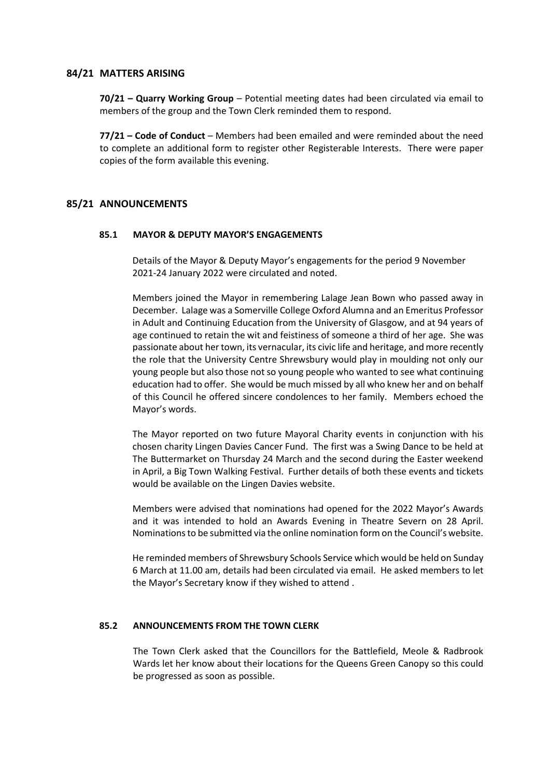### **84/21 MATTERS ARISING**

**70/21 – Quarry Working Group** – Potential meeting dates had been circulated via email to members of the group and the Town Clerk reminded them to respond.

**77/21 – Code of Conduct** – Members had been emailed and were reminded about the need to complete an additional form to register other Registerable Interests. There were paper copies of the form available this evening.

# **85/21 ANNOUNCEMENTS**

### **85.1 MAYOR & DEPUTY MAYOR'S ENGAGEMENTS**

Details of the Mayor & Deputy Mayor's engagements for the period 9 November 2021-24 January 2022 were circulated and noted.

Members joined the Mayor in remembering Lalage Jean Bown who passed away in December. Lalage was a Somerville College Oxford Alumna and an Emeritus Professor in Adult and Continuing Education from the University of Glasgow, and at 94 years of age continued to retain the wit and feistiness of someone a third of her age. She was passionate about her town, its vernacular, its civic life and heritage, and more recently the role that the University Centre Shrewsbury would play in moulding not only our young people but also those not so young people who wanted to see what continuing education had to offer. She would be much missed by all who knew her and on behalf of this Council he offered sincere condolences to her family. Members echoed the Mayor's words.

The Mayor reported on two future Mayoral Charity events in conjunction with his chosen charity Lingen Davies Cancer Fund. The first was a Swing Dance to be held at The Buttermarket on Thursday 24 March and the second during the Easter weekend in April, a Big Town Walking Festival. Further details of both these events and tickets would be available on the Lingen Davies website.

Members were advised that nominations had opened for the 2022 Mayor's Awards and it was intended to hold an Awards Evening in Theatre Severn on 28 April. Nominations to be submitted via the online nomination form on the Council's website.

He reminded members of Shrewsbury Schools Service which would be held on Sunday 6 March at 11.00 am, details had been circulated via email. He asked members to let the Mayor's Secretary know if they wished to attend .

### **85.2 ANNOUNCEMENTS FROM THE TOWN CLERK**

The Town Clerk asked that the Councillors for the Battlefield, Meole & Radbrook Wards let her know about their locations for the Queens Green Canopy so this could be progressed as soon as possible.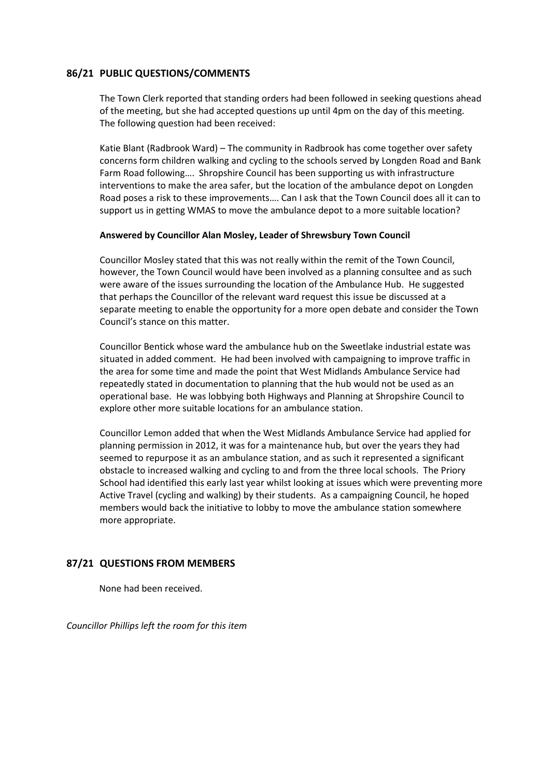# **86/21 PUBLIC QUESTIONS/COMMENTS**

The Town Clerk reported that standing orders had been followed in seeking questions ahead of the meeting, but she had accepted questions up until 4pm on the day of this meeting. The following question had been received:

Katie Blant (Radbrook Ward) – The community in Radbrook has come together over safety concerns form children walking and cycling to the schools served by Longden Road and Bank Farm Road following…. Shropshire Council has been supporting us with infrastructure interventions to make the area safer, but the location of the ambulance depot on Longden Road poses a risk to these improvements…. Can I ask that the Town Council does all it can to support us in getting WMAS to move the ambulance depot to a more suitable location?

### **Answered by Councillor Alan Mosley, Leader of Shrewsbury Town Council**

Councillor Mosley stated that this was not really within the remit of the Town Council, however, the Town Council would have been involved as a planning consultee and as such were aware of the issues surrounding the location of the Ambulance Hub. He suggested that perhaps the Councillor of the relevant ward request this issue be discussed at a separate meeting to enable the opportunity for a more open debate and consider the Town Council's stance on this matter.

Councillor Bentick whose ward the ambulance hub on the Sweetlake industrial estate was situated in added comment. He had been involved with campaigning to improve traffic in the area for some time and made the point that West Midlands Ambulance Service had repeatedly stated in documentation to planning that the hub would not be used as an operational base. He was lobbying both Highways and Planning at Shropshire Council to explore other more suitable locations for an ambulance station.

Councillor Lemon added that when the West Midlands Ambulance Service had applied for planning permission in 2012, it was for a maintenance hub, but over the years they had seemed to repurpose it as an ambulance station, and as such it represented a significant obstacle to increased walking and cycling to and from the three local schools. The Priory School had identified this early last year whilst looking at issues which were preventing more Active Travel (cycling and walking) by their students. As a campaigning Council, he hoped members would back the initiative to lobby to move the ambulance station somewhere more appropriate.

# **87/21 QUESTIONS FROM MEMBERS**

None had been received.

*Councillor Phillips left the room for this item*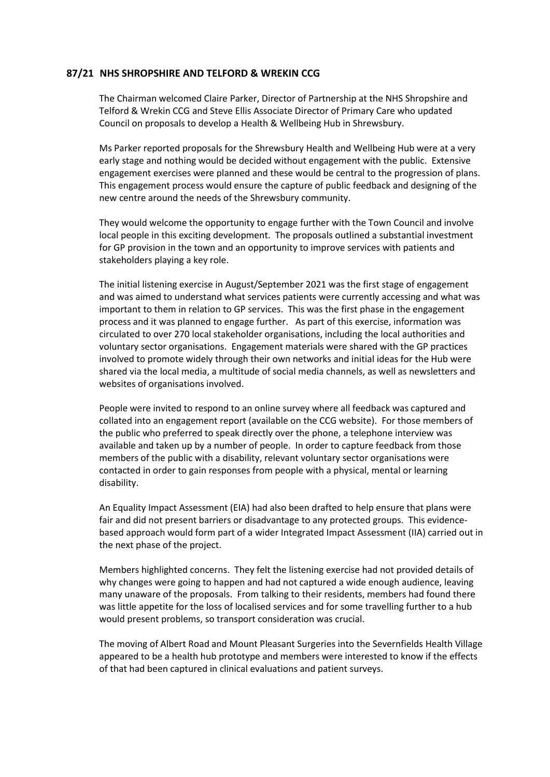## **87/21 NHS SHROPSHIRE AND TELFORD & WREKIN CCG**

The Chairman welcomed Claire Parker, Director of Partnership at the NHS Shropshire and Telford & Wrekin CCG and Steve Ellis Associate Director of Primary Care who updated Council on proposals to develop a Health & Wellbeing Hub in Shrewsbury.

Ms Parker reported proposals for the Shrewsbury Health and Wellbeing Hub were at a very early stage and nothing would be decided without engagement with the public. Extensive engagement exercises were planned and these would be central to the progression of plans. This engagement process would ensure the capture of public feedback and designing of the new centre around the needs of the Shrewsbury community.

They would welcome the opportunity to engage further with the Town Council and involve local people in this exciting development. The proposals outlined a substantial investment for GP provision in the town and an opportunity to improve services with patients and stakeholders playing a key role.

The initial listening exercise in August/September 2021 was the first stage of engagement and was aimed to understand what services patients were currently accessing and what was important to them in relation to GP services. This was the first phase in the engagement process and it was planned to engage further. As part of this exercise, information was circulated to over 270 local stakeholder organisations, including the local authorities and voluntary sector organisations. Engagement materials were shared with the GP practices involved to promote widely through their own networks and initial ideas for the Hub were shared via the local media, a multitude of social media channels, as well as newsletters and websites of organisations involved.

People were invited to respond to an online survey where all feedback was captured and collated into an engagement report (available on the CCG website). For those members of the public who preferred to speak directly over the phone, a telephone interview was available and taken up by a number of people. In order to capture feedback from those members of the public with a disability, relevant voluntary sector organisations were contacted in order to gain responses from people with a physical, mental or learning disability.

An Equality Impact Assessment (EIA) had also been drafted to help ensure that plans were fair and did not present barriers or disadvantage to any protected groups. This evidencebased approach would form part of a wider Integrated Impact Assessment (IIA) carried out in the next phase of the project.

Members highlighted concerns. They felt the listening exercise had not provided details of why changes were going to happen and had not captured a wide enough audience, leaving many unaware of the proposals. From talking to their residents, members had found there was little appetite for the loss of localised services and for some travelling further to a hub would present problems, so transport consideration was crucial.

The moving of Albert Road and Mount Pleasant Surgeries into the Severnfields Health Village appeared to be a health hub prototype and members were interested to know if the effects of that had been captured in clinical evaluations and patient surveys.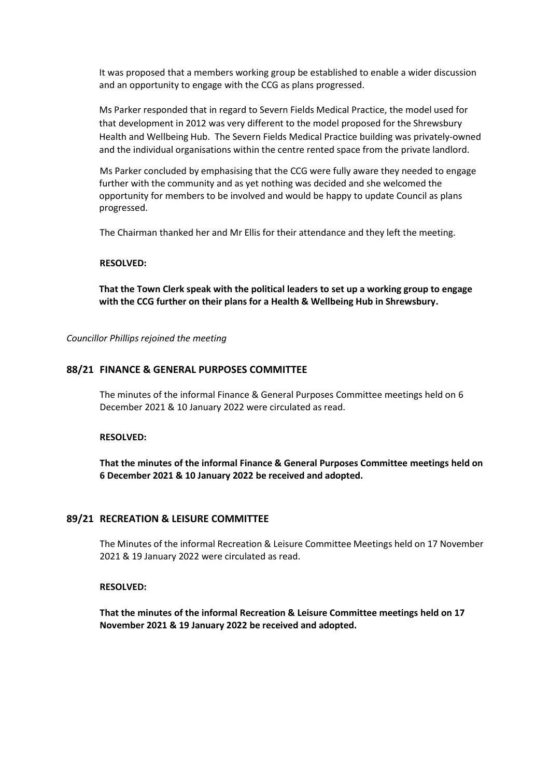It was proposed that a members working group be established to enable a wider discussion and an opportunity to engage with the CCG as plans progressed.

Ms Parker responded that in regard to Severn Fields Medical Practice, the model used for that development in 2012 was very different to the model proposed for the Shrewsbury Health and Wellbeing Hub. The Severn Fields Medical Practice building was privately-owned and the individual organisations within the centre rented space from the private landlord.

Ms Parker concluded by emphasising that the CCG were fully aware they needed to engage further with the community and as yet nothing was decided and she welcomed the opportunity for members to be involved and would be happy to update Council as plans progressed.

The Chairman thanked her and Mr Ellis for their attendance and they left the meeting.

#### **RESOLVED:**

**That the Town Clerk speak with the political leaders to set up a working group to engage with the CCG further on their plans for a Health & Wellbeing Hub in Shrewsbury.**

*Councillor Phillips rejoined the meeting*

### **88/21 FINANCE & GENERAL PURPOSES COMMITTEE**

The minutes of the informal Finance & General Purposes Committee meetings held on 6 December 2021 & 10 January 2022 were circulated as read.

#### **RESOLVED:**

**That the minutes of the informal Finance & General Purposes Committee meetings held on 6 December 2021 & 10 January 2022 be received and adopted.**

# **89/21 RECREATION & LEISURE COMMITTEE**

The Minutes of the informal Recreation & Leisure Committee Meetings held on 17 November 2021 & 19 January 2022 were circulated as read.

### **RESOLVED:**

**That the minutes of the informal Recreation & Leisure Committee meetings held on 17 November 2021 & 19 January 2022 be received and adopted.**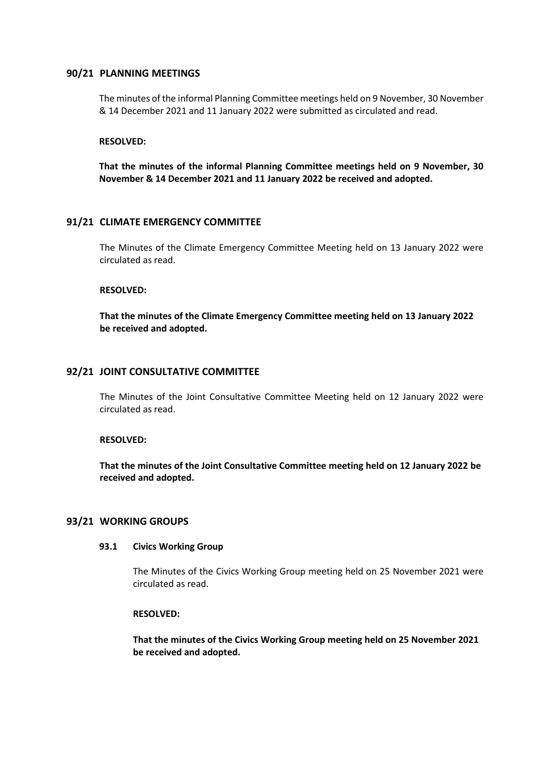### **90/21 PLANNING MEETINGS**

The minutes of the informal Planning Committee meetings held on 9 November, 30 November & 14 December 2021 and 11 January 2022 were submitted as circulated and read.

### **RESOLVED:**

**That the minutes of the informal Planning Committee meetings held on 9 November, 30 November & 14 December 2021 and 11 January 2022 be received and adopted.**

# **91/21 CLIMATE EMERGENCY COMMITTEE**

The Minutes of the Climate Emergency Committee Meeting held on 13 January 2022 were circulated as read.

### **RESOLVED:**

**That the minutes of the Climate Emergency Committee meeting held on 13 January 2022 be received and adopted.**

### **92/21 JOINT CONSULTATIVE COMMITTEE**

The Minutes of the Joint Consultative Committee Meeting held on 12 January 2022 were circulated as read.

### **RESOLVED:**

**That the minutes of the Joint Consultative Committee meeting held on 12 January 2022 be received and adopted.**

### **93/21 WORKING GROUPS**

#### **93.1 Civics Working Group**

The Minutes of the Civics Working Group meeting held on 25 November 2021 were circulated as read.

#### **RESOLVED:**

**That the minutes of the Civics Working Group meeting held on 25 November 2021 be received and adopted.**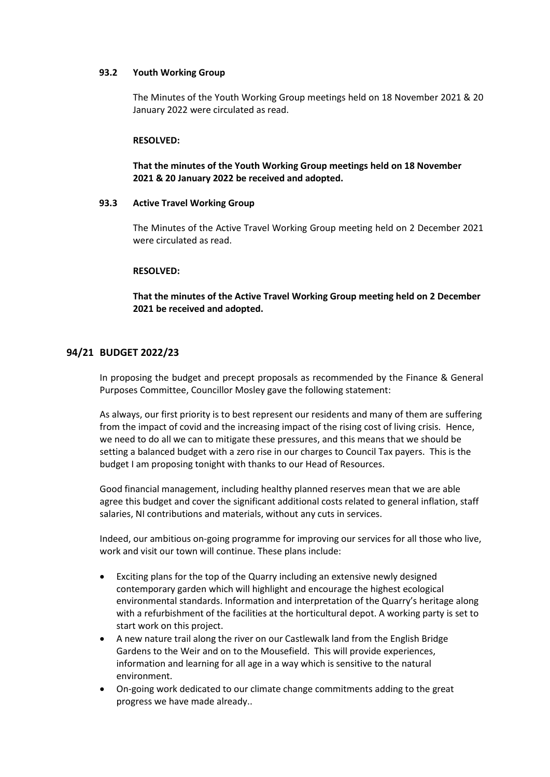### **93.2 Youth Working Group**

The Minutes of the Youth Working Group meetings held on 18 November 2021 & 20 January 2022 were circulated as read.

### **RESOLVED:**

# **That the minutes of the Youth Working Group meetings held on 18 November 2021 & 20 January 2022 be received and adopted.**

### **93.3 Active Travel Working Group**

The Minutes of the Active Travel Working Group meeting held on 2 December 2021 were circulated as read.

### **RESOLVED:**

**That the minutes of the Active Travel Working Group meeting held on 2 December 2021 be received and adopted.**

### **94/21 BUDGET 2022/23**

In proposing the budget and precept proposals as recommended by the Finance & General Purposes Committee, Councillor Mosley gave the following statement:

As always, our first priority is to best represent our residents and many of them are suffering from the impact of covid and the increasing impact of the rising cost of living crisis. Hence, we need to do all we can to mitigate these pressures, and this means that we should be setting a balanced budget with a zero rise in our charges to Council Tax payers. This is the budget I am proposing tonight with thanks to our Head of Resources.

Good financial management, including healthy planned reserves mean that we are able agree this budget and cover the significant additional costs related to general inflation, staff salaries, NI contributions and materials, without any cuts in services.

Indeed, our ambitious on-going programme for improving our services for all those who live, work and visit our town will continue. These plans include:

- Exciting plans for the top of the Quarry including an extensive newly designed contemporary garden which will highlight and encourage the highest ecological environmental standards. Information and interpretation of the Quarry's heritage along with a refurbishment of the facilities at the horticultural depot. A working party is set to start work on this project.
- A new nature trail along the river on our Castlewalk land from the English Bridge Gardens to the Weir and on to the Mousefield. This will provide experiences, information and learning for all age in a way which is sensitive to the natural environment.
- On-going work dedicated to our climate change commitments adding to the great progress we have made already..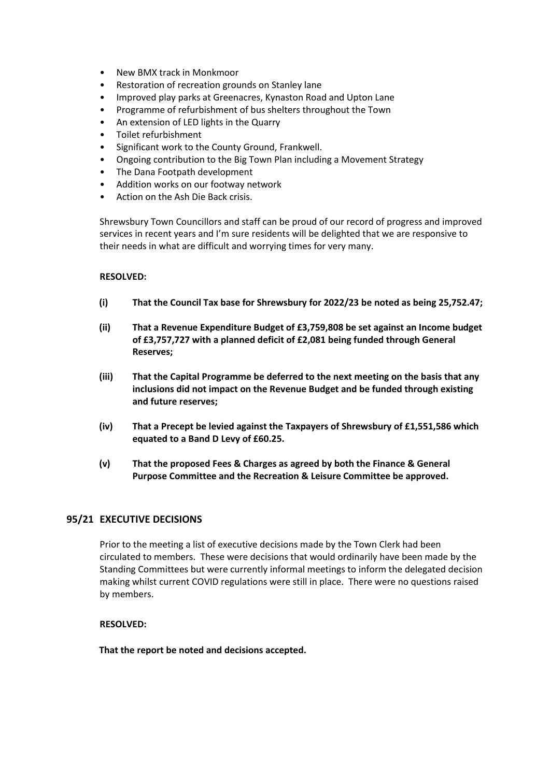- New BMX track in Monkmoor
- Restoration of recreation grounds on Stanley lane
- Improved play parks at Greenacres, Kynaston Road and Upton Lane
- Programme of refurbishment of bus shelters throughout the Town
- An extension of LED lights in the Quarry
- Toilet refurbishment
- Significant work to the County Ground, Frankwell.
- Ongoing contribution to the Big Town Plan including a Movement Strategy
- The Dana Footpath development
- Addition works on our footway network
- Action on the Ash Die Back crisis.

Shrewsbury Town Councillors and staff can be proud of our record of progress and improved services in recent years and I'm sure residents will be delighted that we are responsive to their needs in what are difficult and worrying times for very many.

### **RESOLVED:**

- **(i) That the Council Tax base for Shrewsbury for 2022/23 be noted as being 25,752.47;**
- **(ii) That a Revenue Expenditure Budget of £3,759,808 be set against an Income budget of £3,757,727 with a planned deficit of £2,081 being funded through General Reserves;**
- **(iii) That the Capital Programme be deferred to the next meeting on the basis that any inclusions did not impact on the Revenue Budget and be funded through existing and future reserves;**
- **(iv) That a Precept be levied against the Taxpayers of Shrewsbury of £1,551,586 which equated to a Band D Levy of £60.25.**
- **(v) That the proposed Fees & Charges as agreed by both the Finance & General Purpose Committee and the Recreation & Leisure Committee be approved.**

### **95/21 EXECUTIVE DECISIONS**

Prior to the meeting a list of executive decisions made by the Town Clerk had been circulated to members. These were decisions that would ordinarily have been made by the Standing Committees but were currently informal meetings to inform the delegated decision making whilst current COVID regulations were still in place. There were no questions raised by members.

### **RESOLVED:**

**That the report be noted and decisions accepted.**